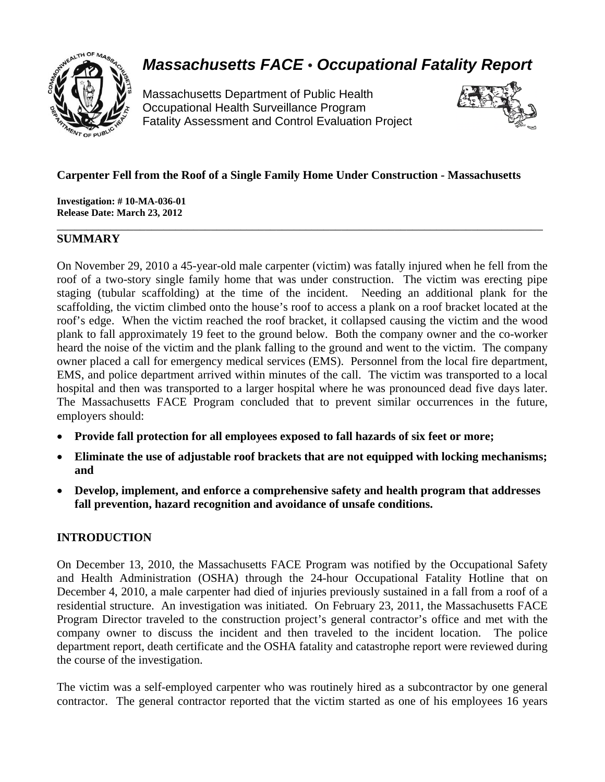

# *Massachusetts FACE* • *Occupational Fatality Report*

Massachusetts Department of Public Health Occupational Health Surveillance Program Fatality Assessment and Control Evaluation Project



## **Carpenter Fell from the Roof of a Single Family Home Under Construction - Massachusetts**

\_\_\_\_\_\_\_\_\_\_\_\_\_\_\_\_\_\_\_\_\_\_\_\_\_\_\_\_\_\_\_\_\_\_\_\_\_\_\_\_\_\_\_\_\_\_\_\_\_\_\_\_\_\_\_\_\_\_\_\_\_\_\_\_\_\_\_\_\_\_\_\_\_\_\_\_\_\_\_\_\_\_

**Investigation: # 10-MA-036-01 Release Date: March 23, 2012** 

## **SUMMARY**

On November 29, 2010 a 45-year-old male carpenter (victim) was fatally injured when he fell from the roof of a two-story single family home that was under construction. The victim was erecting pipe staging (tubular scaffolding) at the time of the incident. Needing an additional plank for the scaffolding, the victim climbed onto the house's roof to access a plank on a roof bracket located at the roof's edge. When the victim reached the roof bracket, it collapsed causing the victim and the wood plank to fall approximately 19 feet to the ground below. Both the company owner and the co-worker heard the noise of the victim and the plank falling to the ground and went to the victim. The company owner placed a call for emergency medical services (EMS). Personnel from the local fire department, EMS, and police department arrived within minutes of the call. The victim was transported to a local hospital and then was transported to a larger hospital where he was pronounced dead five days later. The Massachusetts FACE Program concluded that to prevent similar occurrences in the future, employers should:

- •**Provide fall protection for all employees exposed to fall hazards of six feet or more;**
- $\bullet$ •**Eliminate the use of adjustable roof brackets that are not equipped with locking mechanisms; and**
- •**Develop, implement, and enforce a comprehensive safety and health program that addresses fall prevention, hazard recognition and avoidance of unsafe conditions.**

# **INTRODUCTION**

On December 13, 2010, the Massachusetts FACE Program was notified by the Occupational Safety and Health Administration (OSHA) through the 24-hour Occupational Fatality Hotline that on December 4, 2010, a male carpenter had died of injuries previously sustained in a fall from a roof of a residential structure. An investigation was initiated. On February 23, 2011, the Massachusetts FACE Program Director traveled to the construction project's general contractor's office and met with the company owner to discuss the incident and then traveled to the incident location. The police department report, death certificate and the OSHA fatality and catastrophe report were reviewed during the course of the investigation.

The victim was a self-employed carpenter who was routinely hired as a subcontractor by one general contractor. The general contractor reported that the victim started as one of his employees 16 years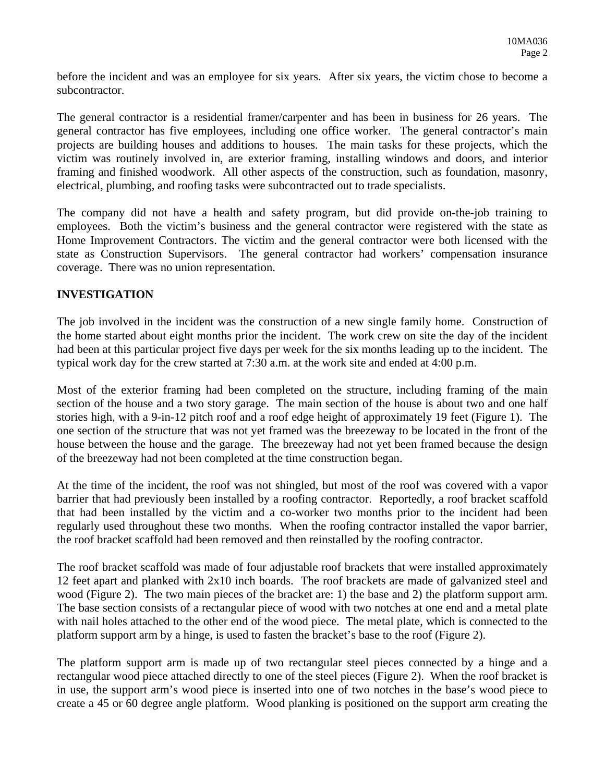before the incident and was an employee for six years. After six years, the victim chose to become a subcontractor.

The general contractor is a residential framer/carpenter and has been in business for 26 years. The general contractor has five employees, including one office worker. The general contractor's main projects are building houses and additions to houses. The main tasks for these projects, which the victim was routinely involved in, are exterior framing, installing windows and doors, and interior framing and finished woodwork. All other aspects of the construction, such as foundation, masonry, electrical, plumbing, and roofing tasks were subcontracted out to trade specialists.

The company did not have a health and safety program, but did provide on-the-job training to employees. Both the victim's business and the general contractor were registered with the state as Home Improvement Contractors. The victim and the general contractor were both licensed with the state as Construction Supervisors. The general contractor had workers' compensation insurance coverage. There was no union representation.

## **INVESTIGATION**

The job involved in the incident was the construction of a new single family home. Construction of the home started about eight months prior the incident. The work crew on site the day of the incident had been at this particular project five days per week for the six months leading up to the incident. The typical work day for the crew started at 7:30 a.m. at the work site and ended at 4:00 p.m.

Most of the exterior framing had been completed on the structure, including framing of the main section of the house and a two story garage. The main section of the house is about two and one half stories high, with a 9-in-12 pitch roof and a roof edge height of approximately 19 feet (Figure 1). The one section of the structure that was not yet framed was the breezeway to be located in the front of the house between the house and the garage. The breezeway had not yet been framed because the design of the breezeway had not been completed at the time construction began.

At the time of the incident, the roof was not shingled, but most of the roof was covered with a vapor barrier that had previously been installed by a roofing contractor. Reportedly, a roof bracket scaffold that had been installed by the victim and a co-worker two months prior to the incident had been regularly used throughout these two months. When the roofing contractor installed the vapor barrier, the roof bracket scaffold had been removed and then reinstalled by the roofing contractor.

wood (Figure 2). The two main pieces of the bracket are: 1) the base and 2) the platform support arm. The roof bracket scaffold was made of four adjustable roof brackets that were installed approximately 12 feet apart and planked with 2x10 inch boards. The roof brackets are made of galvanized steel and The base section consists of a rectangular piece of wood with two notches at one end and a metal plate with nail holes attached to the other end of the wood piece. The metal plate, which is connected to the platform support arm by a hinge, is used to fasten the bracket's base to the roof (Figure 2).

The platform support arm is made up of two rectangular steel pieces connected by a hinge and a rectangular wood piece attached directly to one of the steel pieces (Figure 2). When the roof bracket is in use, the support arm's wood piece is inserted into one of two notches in the base's wood piece to create a 45 or 60 degree angle platform. Wood planking is positioned on the support arm creating the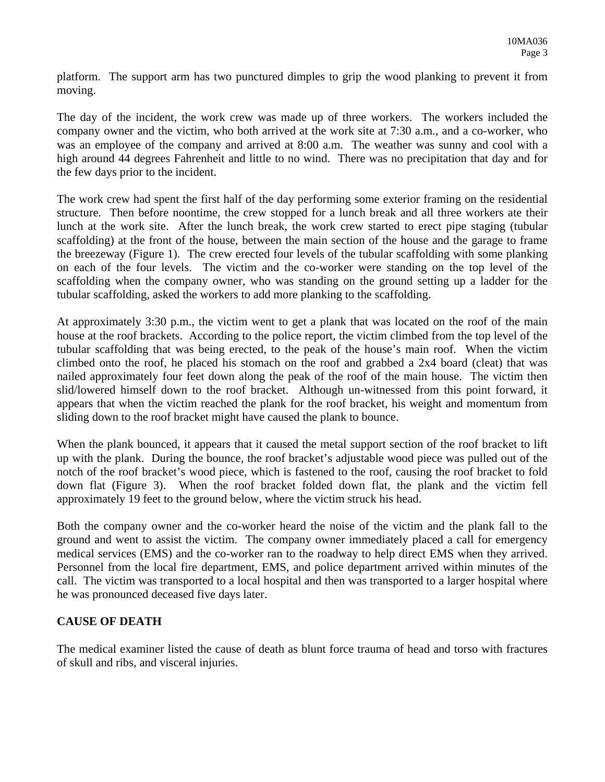platform. The support arm has two punctured dimples to grip the wood planking to prevent it from moving.

The day of the incident, the work crew was made up of three workers. The workers included the company owner and the victim, who both arrived at the work site at 7:30 a.m., and a co-worker, who was an employee of the company and arrived at 8:00 a.m. The weather was sunny and cool with a high around 44 degrees Fahrenheit and little to no wind. There was no precipitation that day and for the few days prior to the incident.

The work crew had spent the first half of the day performing some exterior framing on the residential structure. Then before noontime, the crew stopped for a lunch break and all three workers ate their lunch at the work site. After the lunch break, the work crew started to erect pipe staging (tubular scaffolding) at the front of the house, between the main section of the house and the garage to frame the breezeway (Figure 1). The crew erected four levels of the tubular scaffolding with some planking on each of the four levels. The victim and the co-worker were standing on the top level of the scaffolding when the company owner, who was standing on the ground setting up a ladder for the tubular scaffolding, asked the workers to add more planking to the scaffolding.

At approximately 3:30 p.m., the victim went to get a plank that was located on the roof of the main house at the roof brackets. According to the police report, the victim climbed from the top level of the tubular scaffolding that was being erected, to the peak of the house's main roof. When the victim climbed onto the roof, he placed his stomach on the roof and grabbed a 2x4 board (cleat) that was nailed approximately four feet down along the peak of the roof of the main house. The victim then slid/lowered himself down to the roof bracket. Although un-witnessed from this point forward, it appears that when the victim reached the plank for the roof bracket, his weight and momentum from sliding down to the roof bracket might have caused the plank to bounce.

When the plank bounced, it appears that it caused the metal support section of the roof bracket to lift up with the plank. During the bounce, the roof bracket's adjustable wood piece was pulled out of the notch of the roof bracket's wood piece, which is fastened to the roof, causing the roof bracket to fold down flat (Figure 3). When the roof bracket folded down flat, the plank and the victim fell approximately 19 feet to the ground below, where the victim struck his head.

Both the company owner and the co-worker heard the noise of the victim and the plank fall to the ground and went to assist the victim. The company owner immediately placed a call for emergency medical services (EMS) and the co-worker ran to the roadway to help direct EMS when they arrived. Personnel from the local fire department, EMS, and police department arrived within minutes of the call. The victim was transported to a local hospital and then was transported to a larger hospital where he was pronounced deceased five days later.

# **CAUSE OF DEATH**

The medical examiner listed the cause of death as blunt force trauma of head and torso with fractures of skull and ribs, and visceral injuries.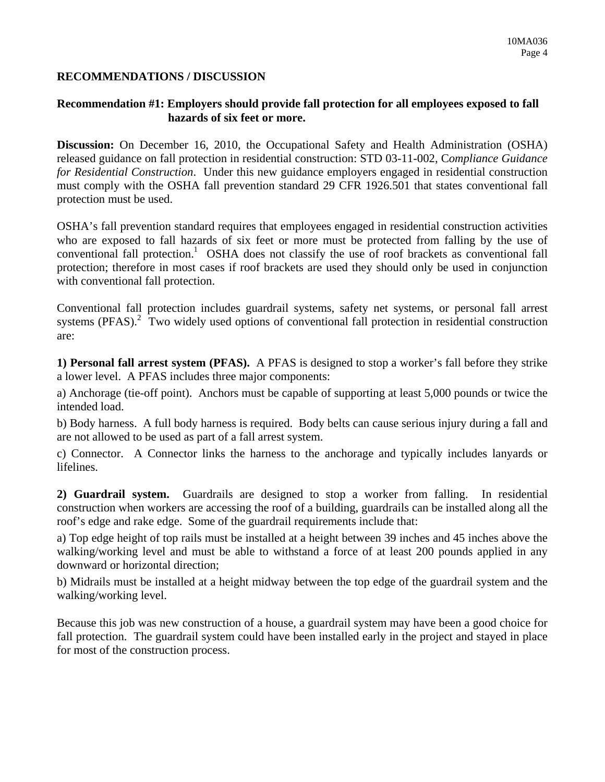#### **RECOMMENDATIONS / DISCUSSION**

#### **Recommendation #1: Employers should provide fall protection for all employees exposed to fall hazards of six feet or more.**

**Discussion:** On December 16, 2010, the Occupational Safety and Health Administration (OSHA) released guidance on fall protection in residential construction: STD 03-11-002, C*ompliance Guidance for Residential Construction*. Under this new guidance employers engaged in residential construction must comply with the OSHA fall prevention standard 29 CFR 1926.501 that states conventional fall protection must be used.

OSHA's fall prevention standard requires that employees engaged in residential construction activities who are exposed to fall hazards of six feet or more must be protected from falling by the use of conventional fall protection.<sup>1</sup> OSHA does not classify the use of roof brackets as conventional fall protection; therefore in most cases if roof brackets are used they should only be used in conjunction with conventional fall protection.

Conventional fall protection includes guardrail systems, safety net systems, or personal fall arrest systems  $(PFAS)<sup>2</sup>$  Two widely used options of conventional fall protection in residential construction are:

**1) Personal fall arrest system (PFAS).** A PFAS is designed to stop a worker's fall before they strike a lower level. A PFAS includes three major components:

a) Anchorage (tie-off point). Anchors must be capable of supporting at least 5,000 pounds or twice the intended load.

b) Body harness. A full body harness is required. Body belts can cause serious injury during a fall and are not allowed to be used as part of a fall arrest system.

c) Connector. A Connector links the harness to the anchorage and typically includes lanyards or lifelines.

**2) Guardrail system.** Guardrails are designed to stop a worker from falling. In residential construction when workers are accessing the roof of a building, guardrails can be installed along all the roof's edge and rake edge. Some of the guardrail requirements include that:

a) Top edge height of top rails must be installed at a height between 39 inches and 45 inches above the walking/working level and must be able to withstand a force of at least 200 pounds applied in any downward or horizontal direction;

b) Midrails must be installed at a height midway between the top edge of the guardrail system and the walking/working level.

Because this job was new construction of a house, a guardrail system may have been a good choice for fall protection. The guardrail system could have been installed early in the project and stayed in place for most of the construction process.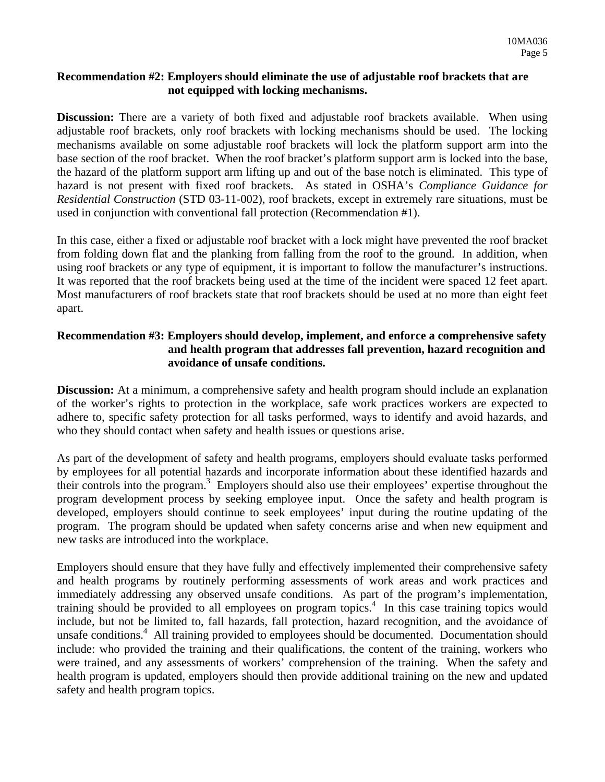#### **Recommendation #2: Employers should eliminate the use of adjustable roof brackets that are not equipped with locking mechanisms.**

**Discussion:** There are a variety of both fixed and adjustable roof brackets available. When using adjustable roof brackets, only roof brackets with locking mechanisms should be used. The locking mechanisms available on some adjustable roof brackets will lock the platform support arm into the base section of the roof bracket. When the roof bracket's platform support arm is locked into the base, the hazard of the platform support arm lifting up and out of the base notch is eliminated. This type of hazard is not present with fixed roof brackets. As stated in OSHA's *Compliance Guidance for Residential Construction* (STD 03-11-002), roof brackets, except in extremely rare situations, must be used in conjunction with conventional fall protection (Recommendation #1).

It was reported that the roof brackets being used at the time of the incident were spaced 12 feet apart. In this case, either a fixed or adjustable roof bracket with a lock might have prevented the roof bracket from folding down flat and the planking from falling from the roof to the ground. In addition, when using roof brackets or any type of equipment, it is important to follow the manufacturer's instructions. Most manufacturers of roof brackets state that roof brackets should be used at no more than eight feet apart.

## **Recommendation #3: Employers should develop, implement, and enforce a comprehensive safety and health program that addresses fall prevention, hazard recognition and avoidance of unsafe conditions.**

**Discussion:** At a minimum, a comprehensive safety and health program should include an explanation of the worker's rights to protection in the workplace, safe work practices workers are expected to adhere to, specific safety protection for all tasks performed, ways to identify and avoid hazards, and who they should contact when safety and health issues or questions arise.

As part of the development of safety and health programs, employers should evaluate tasks performed by employees for all potential hazards and incorporate information about these identified hazards and their controls into the program.<sup>3</sup> Employers should also use their employees' expertise throughout the program development process by seeking employee input. Once the safety and health program is developed, employers should continue to seek employees' input during the routine updating of the program. The program should be updated when safety concerns arise and when new equipment and new tasks are introduced into the workplace.

Employers should ensure that they have fully and effectively implemented their comprehensive safety and health programs by routinely performing assessments of work areas and work practices and immediately addressing any observed unsafe conditions. As part of the program's implementation, training should be provided to all employees on program topics.<sup>4</sup> In this case training topics would include, but not be limited to, fall hazards, fall protection, hazard recognition, and the avoidance of unsafe conditions.<sup>4</sup> All training provided to employees should be documented. Documentation should include: who provided the training and their qualifications, the content of the training, workers who were trained, and any assessments of workers' comprehension of the training. When the safety and health program is updated, employers should then provide additional training on the new and updated safety and health program topics.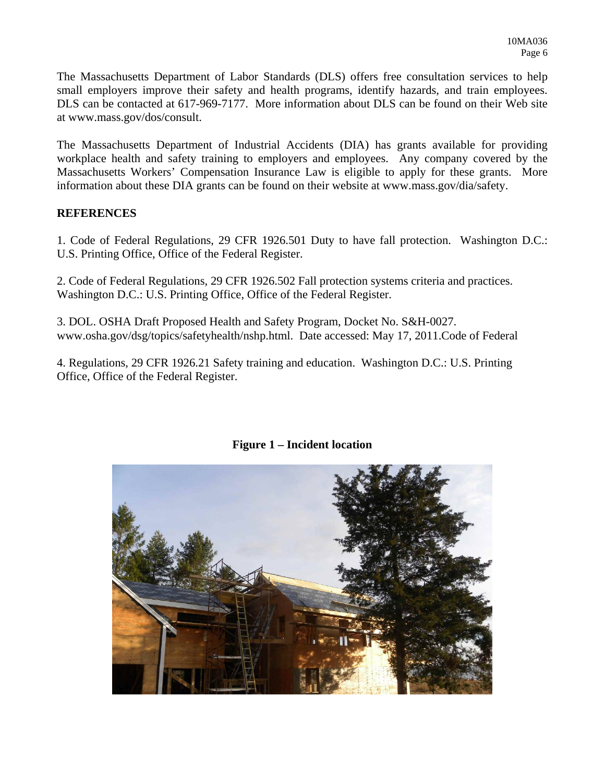The Massachusetts Department of Labor Standards (DLS) offers free consultation services to help small employers improve their safety and health programs, identify hazards, and train employees. DLS can be contacted at 617-969-7177. More information about DLS can be found on their Web site at www.mass.gov/dos/consult.

The Massachusetts Department of Industrial Accidents (DIA) has grants available for providing workplace health and safety training to employers and employees. Any company covered by the Massachusetts Workers' Compensation Insurance Law is eligible to apply for these grants. More information about these DIA grants can be found on their website at www.mass.gov/dia/safety.

#### **REFERENCES**

1. Code of Federal Regulations, 29 CFR 1926.501 Duty to have fall protection. Washington D.C.: U.S. Printing Office, Office of the Federal Register.

2. Code of Federal Regulations, 29 CFR 1926.502 Fall protection systems criteria and practices. Washington D.C.: U.S. Printing Office, Office of the Federal Register.

3. DOL. OSHA Draft Proposed Health and Safety Program, Docket No. S&H-0027. www.osha.gov/dsg/topics/safetyhealth/nshp.html. Date accessed: May 17, 2011.Code of Federal

4. Regulations, 29 CFR 1926.21 Safety training and education. Washington D.C.: U.S. Printing Office, Office of the Federal Register.



**Figure 1 – Incident location**